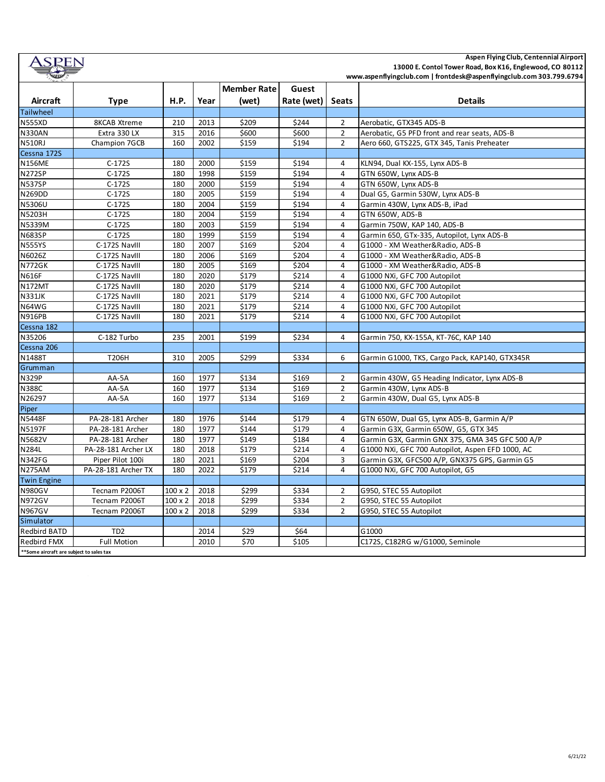| Aspen Flying Club, Centennial Airport<br>SPEN<br>13000 E. Contol Tower Road, Box K16, Englewood, CO 80112 |                     |                |      |                    |            |                |                                                                      |  |  |  |
|-----------------------------------------------------------------------------------------------------------|---------------------|----------------|------|--------------------|------------|----------------|----------------------------------------------------------------------|--|--|--|
|                                                                                                           |                     |                |      |                    |            |                | www.aspenflyingclub.com   frontdesk@aspenflyingclub.com 303.799.6794 |  |  |  |
|                                                                                                           |                     |                |      | <b>Member Rate</b> | Guest      |                |                                                                      |  |  |  |
| Aircraft                                                                                                  | Type                | <b>H.P.</b>    | Year | (wet)              | Rate (wet) | <b>Seats</b>   | <b>Details</b>                                                       |  |  |  |
| Tailwheel                                                                                                 |                     |                |      |                    |            |                |                                                                      |  |  |  |
| <b>N555XD</b>                                                                                             | <b>8KCAB Xtreme</b> | 210            | 2013 | \$209              | \$244      | $\overline{2}$ | Aerobatic, GTX345 ADS-B                                              |  |  |  |
| <b>N330AN</b>                                                                                             | Extra 330 LX        | 315            | 2016 | \$600              | \$600      | $\overline{2}$ | Aerobatic, G5 PFD front and rear seats, ADS-B                        |  |  |  |
| <b>N510RJ</b>                                                                                             | Champion 7GCB       | 160            | 2002 | \$159              | \$194      | $\overline{2}$ | Aero 660, GTS225, GTX 345, Tanis Preheater                           |  |  |  |
| Cessna 172S                                                                                               |                     |                |      |                    |            |                |                                                                      |  |  |  |
| <b>N156ME</b>                                                                                             | $C-172S$            | 180            | 2000 | \$159              | \$194      | 4              | KLN94, Dual KX-155, Lynx ADS-B                                       |  |  |  |
| <b>N272SP</b>                                                                                             | $C-172S$            | 180            | 1998 | \$159              | \$194      | $\overline{4}$ | GTN 650W, Lynx ADS-B                                                 |  |  |  |
| <b>N537SP</b>                                                                                             | $C-172S$            | 180            | 2000 | \$159              | \$194      | 4              | GTN 650W, Lynx ADS-B                                                 |  |  |  |
| N269DD                                                                                                    | $C-172S$            | 180            | 2005 | \$159              | \$194      | 4              | Dual G5, Garmin 530W, Lynx ADS-B                                     |  |  |  |
| N5306U                                                                                                    | $C-172S$            | 180            | 2004 | \$159              | \$194      | 4              | Garmin 430W, Lynx ADS-B, iPad                                        |  |  |  |
| N5203H                                                                                                    | $C-172S$            | 180            | 2004 | \$159              | \$194      | 4              | GTN 650W, ADS-B                                                      |  |  |  |
| N5339M                                                                                                    | $C-172S$            | 180            | 2003 | \$159              | \$194      | 4              | Garmin 750W, KAP 140, ADS-B                                          |  |  |  |
| <b>N683SP</b>                                                                                             | $C-172S$            | 180            | 1999 | \$159              | \$194      | 4              | Garmin 650, GTx-335, Autopilot, Lynx ADS-B                           |  |  |  |
| <b>N555YS</b>                                                                                             | C-172S NavIII       | 180            | 2007 | \$169              | \$204      | $\overline{4}$ | G1000 - XM Weather&Radio, ADS-B                                      |  |  |  |
| N6026Z                                                                                                    | C-172S NavIII       | 180            | 2006 | \$169              | \$204      | 4              | G1000 - XM Weather&Radio, ADS-B                                      |  |  |  |
| <b>N772GK</b>                                                                                             | C-172S NavIII       | 180            | 2005 | \$169              | \$204      | 4              | G1000 - XM Weather&Radio, ADS-B                                      |  |  |  |
| N616F                                                                                                     | C-172S NavIII       | 180            | 2020 | \$179              | \$214      | $\overline{4}$ | G1000 NXi, GFC 700 Autopilot                                         |  |  |  |
| <b>N172MT</b>                                                                                             | C-172S NavIII       | 180            | 2020 | \$179              | \$214      | 4              | G1000 NXi, GFC 700 Autopilot                                         |  |  |  |
| <b>N331JK</b>                                                                                             | C-172S NavIII       | 180            | 2021 | \$179              | \$214      | 4              | G1000 NXi, GFC 700 Autopilot                                         |  |  |  |
| N64WG                                                                                                     | C-172S NavIII       | 180            | 2021 | \$179              | \$214      | 4              | G1000 NXi, GFC 700 Autopilot                                         |  |  |  |
| <b>N916PB</b>                                                                                             | C-172S NavIII       | 180            | 2021 | \$179              | \$214      | 4              | G1000 NXi, GFC 700 Autopilot                                         |  |  |  |
| Cessna 182                                                                                                |                     |                |      |                    |            |                |                                                                      |  |  |  |
| N35206                                                                                                    | C-182 Turbo         | 235            | 2001 | \$199              | \$234      | 4              | Garmin 750, KX-155A, KT-76C, KAP 140                                 |  |  |  |
| Cessna 206                                                                                                |                     |                |      |                    |            |                |                                                                      |  |  |  |
| N1488T                                                                                                    | T206H               | 310            | 2005 | \$299              | \$334      | 6              | Garmin G1000, TKS, Cargo Pack, KAP140, GTX345R                       |  |  |  |
| Grumman                                                                                                   |                     |                |      |                    |            |                |                                                                      |  |  |  |
| <b>N329P</b>                                                                                              | AA-5A               | 160            | 1977 | \$134              | \$169      | 2              | Garmin 430W, G5 Heading Indicator, Lynx ADS-B                        |  |  |  |
| <b>N388C</b>                                                                                              | AA-5A               | 160            | 1977 | \$134              | \$169      | $\overline{2}$ | Garmin 430W, Lynx ADS-B                                              |  |  |  |
| N26297                                                                                                    | AA-5A               | 160            | 1977 | \$134              | \$169      | $\overline{2}$ | Garmin 430W, Dual G5, Lynx ADS-B                                     |  |  |  |
| Piper                                                                                                     |                     |                |      |                    |            |                |                                                                      |  |  |  |
| <b>N5448F</b>                                                                                             | PA-28-181 Archer    | 180            | 1976 | \$144              | \$179      | 4              | GTN 650W, Dual G5, Lynx ADS-B, Garmin A/P                            |  |  |  |
| N5197F                                                                                                    | PA-28-181 Archer    | 180            | 1977 | \$144              | \$179      | 4              | Garmin G3X, Garmin 650W, G5, GTX 345                                 |  |  |  |
| N5682V                                                                                                    | PA-28-181 Archer    | 180            | 1977 | \$149              | \$184      | 4              | Garmin G3X, Garmin GNX 375, GMA 345 GFC 500 A/P                      |  |  |  |
| N284L                                                                                                     | PA-28-181 Archer LX | 180            | 2018 | \$179              | \$214      | 4              | G1000 NXi, GFC 700 Autopilot, Aspen EFD 1000, AC                     |  |  |  |
| <b>N342FG</b>                                                                                             | Piper Pilot 100i    | 180            | 2021 | \$169              | \$204      | 3              | Garmin G3X, GFC500 A/P, GNX375 GPS, Garmin G5                        |  |  |  |
| <b>N275AM</b>                                                                                             | PA-28-181 Archer TX | 180            | 2022 | \$179              | \$214      | $\overline{4}$ | G1000 NXi, GFC 700 Autopilot, G5                                     |  |  |  |
| <b>Twin Engine</b>                                                                                        |                     |                |      |                    |            |                |                                                                      |  |  |  |
| <b>N980GV</b>                                                                                             | Tecnam P2006T       | $100 \times 2$ | 2018 | \$299              | \$334      | $\overline{2}$ | G950, STEC 55 Autopilot                                              |  |  |  |
| <b>N972GV</b>                                                                                             | Tecnam P2006T       | $100 \times 2$ | 2018 | \$299              | \$334      | $\overline{2}$ | G950, STEC 55 Autopilot                                              |  |  |  |
| <b>N967GV</b>                                                                                             | Tecnam P2006T       | $100 \times 2$ | 2018 | \$299              | \$334      | $\overline{2}$ | G950, STEC 55 Autopilot                                              |  |  |  |
| Simulator                                                                                                 |                     |                |      |                    |            |                |                                                                      |  |  |  |
| Redbird BATD                                                                                              | TD <sub>2</sub>     |                | 2014 | \$29               | \$64       |                | G1000                                                                |  |  |  |
| Redbird FMX                                                                                               | <b>Full Motion</b>  |                | 2010 | \$70               | \$105      |                | C172S, C182RG w/G1000, Seminole                                      |  |  |  |
| ** Some aircraft are subject to sales tax                                                                 |                     |                |      |                    |            |                |                                                                      |  |  |  |

6/21/22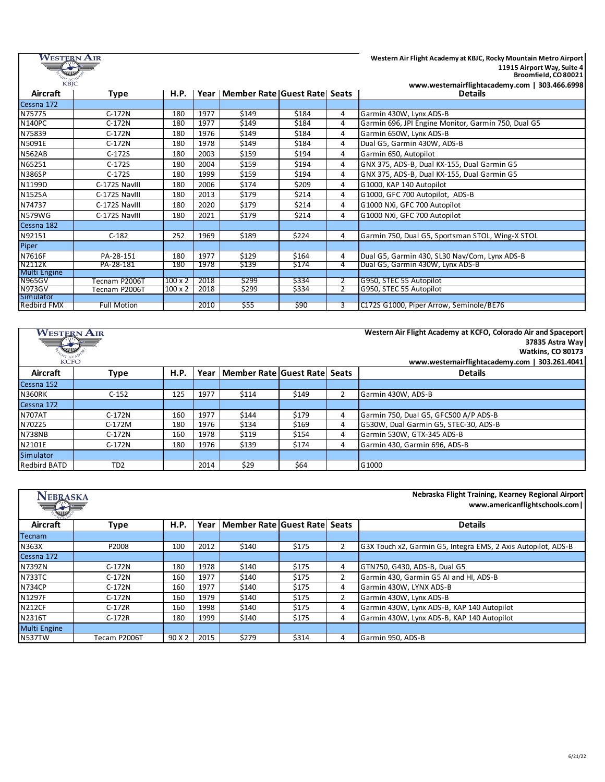| Western Air<br><b>KBIC</b> |                    |                | Western Air Flight Academy at KBJC, Rocky Mountain Metro Airport<br>11915 Airport Way, Suite 4<br>Broomfield, CO 80021<br>www.westernairflightacademy.com   303.466.6998 |                                         |       |                |                                                     |
|----------------------------|--------------------|----------------|--------------------------------------------------------------------------------------------------------------------------------------------------------------------------|-----------------------------------------|-------|----------------|-----------------------------------------------------|
| Aircraft                   | Type               | <b>H.P.</b>    |                                                                                                                                                                          | Year   Member Rate   Guest Rate   Seats |       |                | <b>Details</b>                                      |
| Cessna 172                 |                    |                |                                                                                                                                                                          |                                         |       |                |                                                     |
| N75775                     | C-172N             | 180            | 1977                                                                                                                                                                     | \$149                                   | \$184 | 4              | Garmin 430W. Lynx ADS-B                             |
| <b>N140PC</b>              | $C-172N$           | 180            | 1977                                                                                                                                                                     | \$149                                   | \$184 | 4              | Garmin 696, JPI Engine Monitor, Garmin 750, Dual G5 |
| N75839                     | $C-172N$           | 180            | 1976                                                                                                                                                                     | \$149                                   | \$184 | 4              | Garmin 650W, Lynx ADS-B                             |
| N5091E                     | $C-172N$           | 180            | 1978                                                                                                                                                                     | \$149                                   | \$184 | 4              | Dual G5, Garmin 430W, ADS-B                         |
| <b>N562AB</b>              | $C-172S$           | 180            | 2003                                                                                                                                                                     | \$159                                   | \$194 | 4              | Garmin 650, Autopilot                               |
| N65251                     | $C-172S$           | 180            | 2004                                                                                                                                                                     | \$159                                   | \$194 | 4              | GNX 375, ADS-B, Dual KX-155, Dual Garmin G5         |
| <b>N386SP</b>              | $C-172S$           | 180            | 1999                                                                                                                                                                     | \$159                                   | \$194 | 4              | GNX 375, ADS-B, Dual KX-155, Dual Garmin G5         |
| N1199D                     | C-172S NavIII      | 180            | 2006                                                                                                                                                                     | \$174                                   | \$209 | 4              | G1000, KAP 140 Autopilot                            |
| <b>N152SA</b>              | C-172S Navill      | 180            | 2013                                                                                                                                                                     | \$179                                   | \$214 | 4              | G1000, GFC 700 Autopilot, ADS-B                     |
| N74737                     | C-172S Navill      | 180            | 2020                                                                                                                                                                     | \$179                                   | \$214 | 4              | G1000 NXi, GFC 700 Autopilot                        |
| <b>N579WG</b>              | C-172S Navill      | 180            | 2021                                                                                                                                                                     | \$179                                   | \$214 | 4              | G1000 NXi, GFC 700 Autopilot                        |
| Cessna 182                 |                    |                |                                                                                                                                                                          |                                         |       |                |                                                     |
| N92151                     | $C-182$            | 252            | 1969                                                                                                                                                                     | \$189                                   | \$224 | 4              | Garmin 750, Dual G5, Sportsman STOL, Wing-X STOL    |
| Piper                      |                    |                |                                                                                                                                                                          |                                         |       |                |                                                     |
| N7616F                     | PA-28-151          | 180            | 1977                                                                                                                                                                     | \$129                                   | \$164 | 4              | Dual G5, Garmin 430, SL30 Nav/Com, Lynx ADS-B       |
| N2112K                     | PA-28-181          | 180            | 1978                                                                                                                                                                     | \$139                                   | \$174 | 4              | Dual G5, Garmin 430W, Lynx ADS-B                    |
| Multi Engine               |                    |                |                                                                                                                                                                          |                                         |       |                |                                                     |
| <b>N965GV</b>              | Tecnam P2006T      | $100 \times 2$ | 2018                                                                                                                                                                     | \$299                                   | \$334 |                | G950, STEC 55 Autopilot                             |
| <b>N973GV</b>              | Tecnam P2006T      | $100 \times 2$ | 2018                                                                                                                                                                     | \$299                                   | \$334 | $\overline{2}$ | G950, STEC 55 Autopilot                             |
| Simulator                  |                    |                |                                                                                                                                                                          |                                         |       |                |                                                     |
| Redbird FMX                | <b>Full Motion</b> |                | 2010                                                                                                                                                                     | \$55                                    | \$90  | 3              | C172S G1000, Piper Arrow, Seminole/BE76             |

| <b>WESTERN AIR</b> |                 |      |      |                              | Western Air Flight Academy at KCFO, Colorado Air and Spaceport |                |                                                |
|--------------------|-----------------|------|------|------------------------------|----------------------------------------------------------------|----------------|------------------------------------------------|
|                    |                 |      |      |                              |                                                                |                | 37835 Astra Way                                |
| WW                 |                 |      |      |                              |                                                                |                | <b>Watkins, CO 80173</b>                       |
| <b>KCFO</b>        |                 |      |      |                              |                                                                |                | www.westernairflightacademy.com   303.261.4041 |
| Aircraft           | <b>Type</b>     | H.P. | Year | Member Rate Guest Rate Seats |                                                                |                | <b>Details</b>                                 |
| Cessna 152         |                 |      |      |                              |                                                                |                |                                                |
| <b>N360RK</b>      | $C-152$         | 125  | 1977 | \$114                        | \$149                                                          | $\overline{2}$ | Garmin 430W, ADS-B                             |
| Cessna 172         |                 |      |      |                              |                                                                |                |                                                |
| <b>N707AT</b>      | $C-172N$        | 160  | 1977 | \$144                        | \$179                                                          | 4              | Garmin 750, Dual G5, GFC500 A/P ADS-B          |
| N70225             | C-172M          | 180  | 1976 | \$134                        | \$169                                                          | 4              | G530W, Dual Garmin G5, STEC-30, ADS-B          |
| <b>N738NB</b>      | $C-172N$        | 160  | 1978 | \$119                        | \$154                                                          | 4              | Garmin 530W, GTX-345 ADS-B                     |
| N2101E             | $C-172N$        | 180  | 1976 | \$139                        | \$174                                                          | 4              | Garmin 430. Garmin 696, ADS-B                  |
| Simulator          |                 |      |      |                              |                                                                |                |                                                |
| Redbird BATD       | TD <sub>2</sub> |      | 2014 | \$29                         | \$64                                                           |                | G1000                                          |

| Nebraska Flight Training, Kearney Regional Airport<br><b>NEBRASKA</b><br>www.americanflightschools.com  <br>W |              |             |      |                              |       |               |                                                               |  |
|---------------------------------------------------------------------------------------------------------------|--------------|-------------|------|------------------------------|-------|---------------|---------------------------------------------------------------|--|
| Aircraft                                                                                                      | Type         | <b>H.P.</b> | Year | Member Rate Guest Rate Seats |       |               | <b>Details</b>                                                |  |
| Tecnam                                                                                                        |              |             |      |                              |       |               |                                                               |  |
| N363X                                                                                                         | P2008        | 100         | 2012 | \$140                        | \$175 | $\mathcal{P}$ | G3X Touch x2, Garmin G5, Integra EMS, 2 Axis Autopilot, ADS-B |  |
| Cessna 172                                                                                                    |              |             |      |                              |       |               |                                                               |  |
| <b>N739ZN</b>                                                                                                 | $C-172N$     | 180         | 1978 | \$140                        | \$175 | 4             | GTN750, G430, ADS-B, Dual G5                                  |  |
| <b>N733TC</b>                                                                                                 | $C-172N$     | 160         | 1977 | \$140                        | \$175 | 2             | Garmin 430, Garmin G5 AI and HI, ADS-B                        |  |
| <b>N734CP</b>                                                                                                 | $C-172N$     | 160         | 1977 | \$140                        | \$175 | 4             | Garmin 430W, LYNX ADS-B                                       |  |
| N1297F                                                                                                        | $C-172N$     | 160         | 1979 | \$140                        | \$175 | 2             | Garmin 430W, Lynx ADS-B                                       |  |
| <b>N212CF</b>                                                                                                 | $C-172R$     | 160         | 1998 | \$140                        | \$175 | 4             | Garmin 430W, Lynx ADS-B, KAP 140 Autopilot                    |  |
| N2316T                                                                                                        | $C-172R$     | 180         | 1999 | \$140                        | \$175 | 4             | Garmin 430W, Lynx ADS-B, KAP 140 Autopilot                    |  |
| <b>Multi Engine</b>                                                                                           |              |             |      |                              |       |               |                                                               |  |
| <b>N537TW</b>                                                                                                 | Tecam P2006T | 90 X 2      | 2015 | \$279                        | \$314 | 4             | Garmin 950, ADS-B                                             |  |